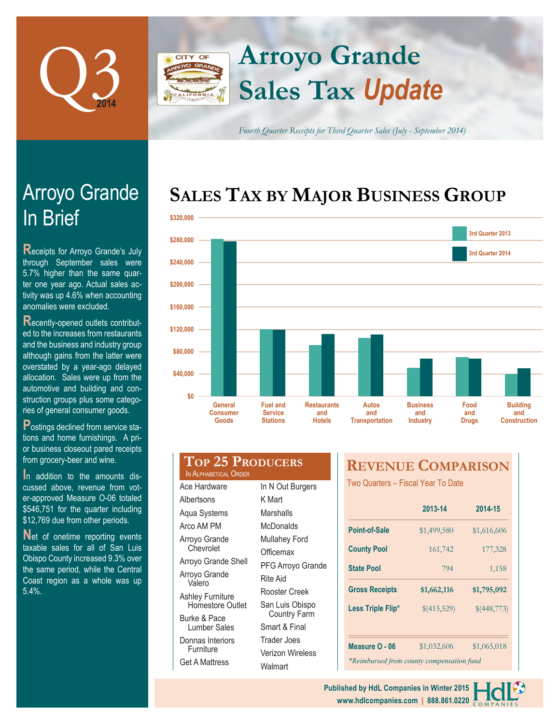

# **Arroyo Grande CITY OF Sales Tax** *Update*

*Fourth Quarter Receipts for Third Quarter Sales (July - September 2014)*

# **SALES TAX BY MAJOR BUSINESS GROUP**



# In Brief Arroyo Grande

**R**eceipts for Arroyo Grande's July through September sales were 5.7% higher than the same quarter one year ago. Actual sales activity was up 4.6% when accounting anomalies were excluded.

**R**ecently-opened outlets contributed to the increases from restaurants and the business and industry group although gains from the latter were overstated by a year-ago delayed allocation. Sales were up from the automotive and building and construction groups plus some categories of general consumer goods.

**P**ostings declined from service stations and home furnishings. A prior business closeout pared receipts from grocery-beer and wine.

**I**n addition to the amounts discussed above, revenue from voter-approved Measure O-06 totaled \$546,751 for the quarter including \$12,769 due from other periods.

**Net of onetime reporting events** taxable sales for all of San Luis Obispo County increased 9.3% over the same period, while the Central Coast region as a whole was up 5.4%.

### **Top 25 Producers** IN ALPHABETICAL ORDE

| Ace Hardware            | In I |
|-------------------------|------|
| Albertsons              | K۱   |
| Aqua Systems            | Ма   |
| Arco AM PM              | Mc   |
| Arroyo Grande           | Mυ   |
| Chevrolet               | Ofl  |
| Arroyo Grande Shell     | РF   |
| Arroyo Grande<br>Valero | Rit  |
| Ashley Furniture        | Ro   |
| Homestore Outlet        | Sa   |
| Burke & Pace            |      |
| <b>Lumber Sales</b>     | Sm   |
| Donnas Interiors        | Tra  |
| Furniture               | Ve   |
| <b>Get A Mattress</b>   | Ws   |

| R |                                        |
|---|----------------------------------------|
|   | In N Out Burgers                       |
|   | K Mart                                 |
|   | Marshalls                              |
|   | McDonalds                              |
|   | <b>Mullahey Ford</b>                   |
|   | Officemax                              |
| I | PFG Arroyo Grande                      |
|   | Rite Aid                               |
|   | Rooster Creek                          |
|   | San Luis Obispo<br><b>Country Farm</b> |
|   | Smart & Final                          |
|   | Trader Joes                            |
|   | Verizon Wireless                       |
|   | Walmart                                |

# **REVENUE COMPARISON**

Two Quarters – Fiscal Year To Date

|                                           | 2013-14     | 2014-15     |  |  |  |  |  |
|-------------------------------------------|-------------|-------------|--|--|--|--|--|
| Point-of-Sale                             | \$1,499,580 | \$1,616,606 |  |  |  |  |  |
| <b>County Pool</b>                        | 161,742     | 177,328     |  |  |  |  |  |
| <b>State Pool</b>                         | 794         | 1,158       |  |  |  |  |  |
| <b>Gross Receipts</b>                     | \$1,662,116 | \$1,795,092 |  |  |  |  |  |
| Less Triple Flip*                         | \$(415,529) | \$(448,773) |  |  |  |  |  |
|                                           |             |             |  |  |  |  |  |
| Measure O - 06                            | \$1,032,606 | \$1,065,018 |  |  |  |  |  |
| *Reimbursed from county compensation fund |             |             |  |  |  |  |  |

**www.hdlcompanies.com | 888.861.0220 Published by HdL Companies in Winter 2015**